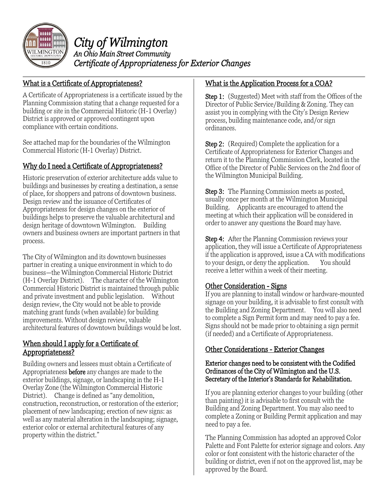

*City of Wilmington An Ohio Main Street Community Certificate of Appropriateness for Exterior Changes* 

#### What is a Certificate of Appropriateness?

A Certificate of Appropriateness is a certificate issued by the Planning Commission stating that a change requested for a building or site in the Commercial Historic (H-1 Overlay) District is approved or approved contingent upon compliance with certain conditions.

See attached map for the boundaries of the Wilmington Commercial Historic (H-1 Overlay) District.

### Why do I need a Certificate of Appropriateness?

Historic preservation of exterior architecture adds value to buildings and businesses by creating a destination, a sense of place, for shoppers and patrons of downtown business. Design review and the issuance of Certificates of Appropriateness for design changes on the exterior of buildings helps to preserve the valuable architectural and design heritage of downtown Wilmington. Building owners and business owners are important partners in that process.

The City of Wilmington and its downtown businesses partner in creating a unique environment in which to do business—the Wilmington Commercial Historic District (H-1 Overlay District). The character of the Wilmington Commercial Historic District is maintained through public and private investment and public legislation. Without design review, the City would not be able to provide matching grant funds (when available) for building improvements. Without design review, valuable architectural features of downtown buildings would be lost.

#### When should I apply for a Certificate of Appropriateness?

Building owners and lessees must obtain a Certificate of Appropriateness before any changes are made to the exterior buildings, signage, or landscaping in the H-1 Overlay Zone (the Wilmington Commercial Historic District). Change is defined as "any demolition, construction, reconstruction, or restoration of the exterior; placement of new landscaping; erection of new signs: as well as any material alteration in the landscaping; signage, exterior color or external architectural features of any property within the district."

#### What is the Application Process for a COA?

Step 1: (Suggested) Meet with staff from the Offices of the Director of Public Service/Building & Zoning. They can assist you in complying with the City's Design Review process, building maintenance code, and/or sign ordinances.

**Step 2:** (Required) Complete the application for a Certificate of Appropriateness for Exterior Changes and return it to the Planning Commission Clerk, located in the Office of the Director of Public Services on the 2nd floor of the Wilmington Municipal Building.

Step 3: The Planning Commission meets as posted, usually once per month at the Wilmington Municipal Building. Applicants are encouraged to attend the meeting at which their application will be considered in order to answer any questions the Board may have.

**Step 4:** After the Planning Commission reviews your application, they will issue a Certificate of Appropriateness if the application is approved, issue a CA with modifications to your design, or deny the application. You should receive a letter within a week of their meeting.

#### Other Consideration - Signs

If you are planning to install window or hardware-mounted signage on your building, it is advisable to first consult with the Building and Zoning Department. You will also need to complete a Sign Permit form and may need to pay a fee. Signs should not be made prior to obtaining a sign permit (if needed) and a Certificate of Appropriateness.

#### Other Considerations - Exterior Changes

#### Exterior changes need to be consistent with the Codified Ordinances of the City of Wilmington and the U.S. Secretary of the Interior's Standards for Rehabilitation.

If you are planning exterior changes to your building (other than painting) it is advisable to first consult with the Building and Zoning Department. You may also need to complete a Zoning or Building Permit application and may need to pay a fee.

The Planning Commission has adopted an approved Color Palette and Font Palette for exterior signage and colors. Any color or font consistent with the historic character of the building or district, even if not on the approved list, may be approved by the Board.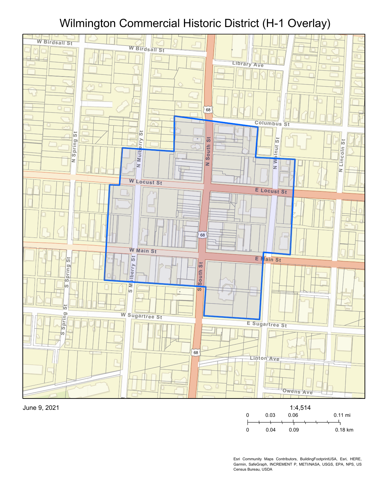# **<sup>E</sup> <sup>B</sup>irdsall St** Wilmington Commercial Historic District (H-1 Overlay)







Esri Community Maps Contributors, BuildingFootprintUSA, Esri, HERE, Garmin, SafeGraph, INCREMENT P, METI/NASA, USGS, EPA, NPS, US Census Bureau, USDA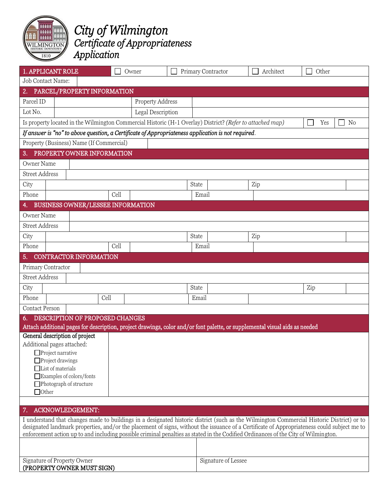

## *City of Wilmington Certificate of Appropriateness Application*

| 1. APPLICANT ROLE                                                                                                                                                                                                                                                                        |      | Owner |                   | Primary Contractor |                     | Architect | Other |
|------------------------------------------------------------------------------------------------------------------------------------------------------------------------------------------------------------------------------------------------------------------------------------------|------|-------|-------------------|--------------------|---------------------|-----------|-------|
| Job Contact Name:                                                                                                                                                                                                                                                                        |      |       |                   |                    |                     |           |       |
| 2. PARCEL/PROPERTY INFORMATION                                                                                                                                                                                                                                                           |      |       |                   |                    |                     |           |       |
| Parcel ID                                                                                                                                                                                                                                                                                |      |       | Property Address  |                    |                     |           |       |
| Lot No.                                                                                                                                                                                                                                                                                  |      |       | Legal Description |                    |                     |           |       |
| Is property located in the Wilmington Commercial Historic (H-1 Overlay) District? (Refer to attached map)<br>N <sub>0</sub><br>Yes                                                                                                                                                       |      |       |                   |                    |                     |           |       |
| If answer is "no" to above question, a Certificate of Appropriateness application is not required.                                                                                                                                                                                       |      |       |                   |                    |                     |           |       |
| Property (Business) Name (If Commercial)                                                                                                                                                                                                                                                 |      |       |                   |                    |                     |           |       |
| PROPERTY OWNER INFORMATION<br>3.                                                                                                                                                                                                                                                         |      |       |                   |                    |                     |           |       |
| Owner Name                                                                                                                                                                                                                                                                               |      |       |                   |                    |                     |           |       |
| <b>Street Address</b>                                                                                                                                                                                                                                                                    |      |       |                   |                    |                     |           |       |
| City                                                                                                                                                                                                                                                                                     |      |       |                   | State              |                     | Zip       |       |
| Phone                                                                                                                                                                                                                                                                                    |      | Cell  |                   |                    | Email               |           |       |
| BUSINESS OWNER/LESSEE INFORMATION<br>4.                                                                                                                                                                                                                                                  |      |       |                   |                    |                     |           |       |
| Owner Name                                                                                                                                                                                                                                                                               |      |       |                   |                    |                     |           |       |
| <b>Street Address</b>                                                                                                                                                                                                                                                                    |      |       |                   |                    |                     |           |       |
| City                                                                                                                                                                                                                                                                                     |      |       |                   | State              |                     | Zip       |       |
| Phone                                                                                                                                                                                                                                                                                    |      | Cell  |                   |                    | Email               |           |       |
| <b>CONTRACTOR INFORMATION</b><br>5.                                                                                                                                                                                                                                                      |      |       |                   |                    |                     |           |       |
| Primary Contractor                                                                                                                                                                                                                                                                       |      |       |                   |                    |                     |           |       |
| <b>Street Address</b>                                                                                                                                                                                                                                                                    |      |       |                   |                    |                     |           |       |
| City                                                                                                                                                                                                                                                                                     |      |       |                   | State              |                     |           | Zip   |
| Phone                                                                                                                                                                                                                                                                                    | Cell |       |                   | Email              |                     |           |       |
| <b>Contact Person</b>                                                                                                                                                                                                                                                                    |      |       |                   |                    |                     |           |       |
| DESCRIPTION OF PROPOSED CHANGES                                                                                                                                                                                                                                                          |      |       |                   |                    |                     |           |       |
| Attach additional pages for description, project drawings, color and/or font palette, or supplemental visual aids as needed                                                                                                                                                              |      |       |                   |                    |                     |           |       |
| General description of project                                                                                                                                                                                                                                                           |      |       |                   |                    |                     |           |       |
| Additional pages attached:                                                                                                                                                                                                                                                               |      |       |                   |                    |                     |           |       |
| $\Box$ Project narrative<br>Project drawings                                                                                                                                                                                                                                             |      |       |                   |                    |                     |           |       |
| $\Box$ List of materials                                                                                                                                                                                                                                                                 |      |       |                   |                    |                     |           |       |
| Examples of colors/fonts                                                                                                                                                                                                                                                                 |      |       |                   |                    |                     |           |       |
| $\Box$ Photograph of structure                                                                                                                                                                                                                                                           |      |       |                   |                    |                     |           |       |
| $\Box$ Other                                                                                                                                                                                                                                                                             |      |       |                   |                    |                     |           |       |
|                                                                                                                                                                                                                                                                                          |      |       |                   |                    |                     |           |       |
| ACKNOWLEDGEMENT:<br>7.                                                                                                                                                                                                                                                                   |      |       |                   |                    |                     |           |       |
| I understand that changes made to buildings in a designated historic district (such as the Wilmington Commercial Historic District) or to<br>designated landmark properties, and/or the placement of signs, without the issuance of a Certificate of Appropriateness could subject me to |      |       |                   |                    |                     |           |       |
| enforcement action up to and including possible criminal penalties as stated in the Codified Ordinances of the City of Wilmington.                                                                                                                                                       |      |       |                   |                    |                     |           |       |
|                                                                                                                                                                                                                                                                                          |      |       |                   |                    |                     |           |       |
| Signature of Property Owner<br>(PROPERTY OWNER MUST SIGN)                                                                                                                                                                                                                                |      |       |                   |                    | Signature of Lessee |           |       |